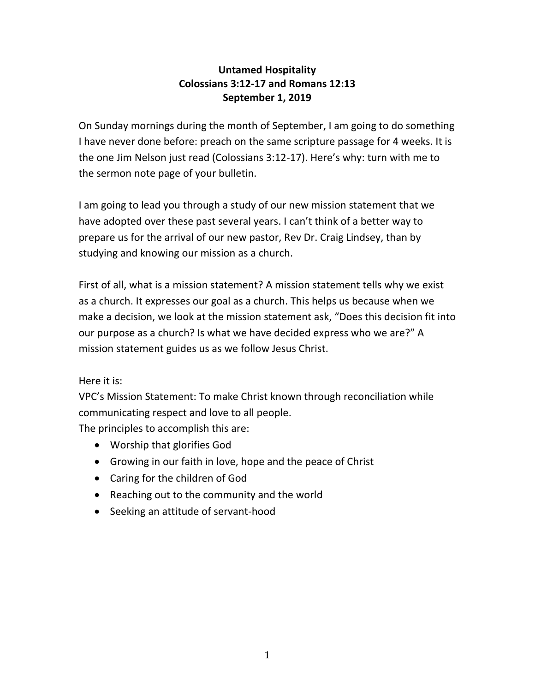## **Untamed Hospitality Colossians 3:12-17 and Romans 12:13 September 1, 2019**

On Sunday mornings during the month of September, I am going to do something I have never done before: preach on the same scripture passage for 4 weeks. It is the one Jim Nelson just read (Colossians 3:12-17). Here's why: turn with me to the sermon note page of your bulletin.

I am going to lead you through a study of our new mission statement that we have adopted over these past several years. I can't think of a better way to prepare us for the arrival of our new pastor, Rev Dr. Craig Lindsey, than by studying and knowing our mission as a church.

First of all, what is a mission statement? A mission statement tells why we exist as a church. It expresses our goal as a church. This helps us because when we make a decision, we look at the mission statement ask, "Does this decision fit into our purpose as a church? Is what we have decided express who we are?" A mission statement guides us as we follow Jesus Christ.

Here it is:

VPC's Mission Statement: To make Christ known through reconciliation while communicating respect and love to all people.

The principles to accomplish this are:

- Worship that glorifies God
- Growing in our faith in love, hope and the peace of Christ
- Caring for the children of God
- Reaching out to the community and the world
- Seeking an attitude of servant-hood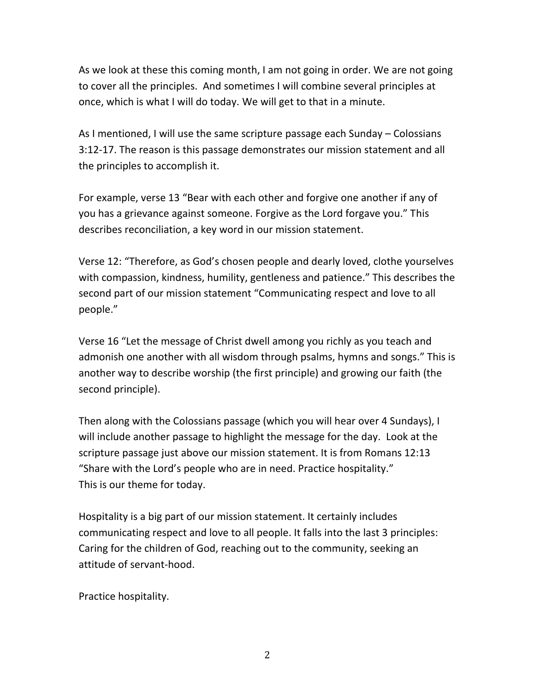As we look at these this coming month, I am not going in order. We are not going to cover all the principles. And sometimes I will combine several principles at once, which is what I will do today. We will get to that in a minute.

As I mentioned, I will use the same scripture passage each Sunday – Colossians 3:12-17. The reason is this passage demonstrates our mission statement and all the principles to accomplish it.

For example, verse 13 "Bear with each other and forgive one another if any of you has a grievance against someone. Forgive as the Lord forgave you." This describes reconciliation, a key word in our mission statement.

Verse 12: "Therefore, as God's chosen people and dearly loved, clothe yourselves with compassion, kindness, humility, gentleness and patience." This describes the second part of our mission statement "Communicating respect and love to all people."

Verse 16 "Let the message of Christ dwell among you richly as you teach and admonish one another with all wisdom through psalms, hymns and songs." This is another way to describe worship (the first principle) and growing our faith (the second principle).

Then along with the Colossians passage (which you will hear over 4 Sundays), I will include another passage to highlight the message for the day. Look at the scripture passage just above our mission statement. It is from Romans 12:13 "Share with the Lord's people who are in need. Practice hospitality." This is our theme for today.

Hospitality is a big part of our mission statement. It certainly includes communicating respect and love to all people. It falls into the last 3 principles: Caring for the children of God, reaching out to the community, seeking an attitude of servant-hood.

Practice hospitality.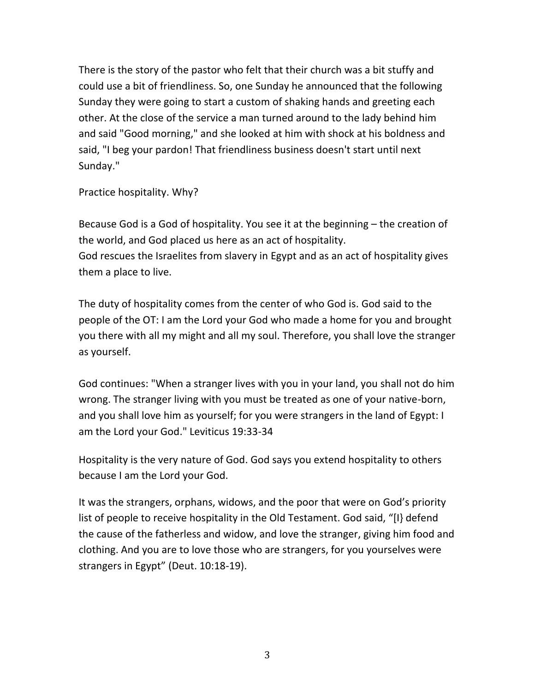There is the story of the pastor who felt that their church was a bit stuffy and could use a bit of friendliness. So, one Sunday he announced that the following Sunday they were going to start a custom of shaking hands and greeting each other. At the close of the service a man turned around to the lady behind him and said "Good morning," and she looked at him with shock at his boldness and said, "I beg your pardon! That friendliness business doesn't start until next Sunday."

Practice hospitality. Why?

Because God is a God of hospitality. You see it at the beginning – the creation of the world, and God placed us here as an act of hospitality. God rescues the Israelites from slavery in Egypt and as an act of hospitality gives them a place to live.

The duty of hospitality comes from the center of who God is. God said to the people of the OT: I am the Lord your God who made a home for you and brought you there with all my might and all my soul. Therefore, you shall love the stranger as yourself.

God continues: "When a stranger lives with you in your land, you shall not do him wrong. The stranger living with you must be treated as one of your native-born, and you shall love him as yourself; for you were strangers in the land of Egypt: I am the Lord your God." Leviticus 19:33-34

Hospitality is the very nature of God. God says you extend hospitality to others because I am the Lord your God.

It was the strangers, orphans, widows, and the poor that were on God's priority list of people to receive hospitality in the Old Testament. God said, "[I} defend the cause of the fatherless and widow, and love the stranger, giving him food and clothing. And you are to love those who are strangers, for you yourselves were strangers in Egypt" (Deut. 10:18-19).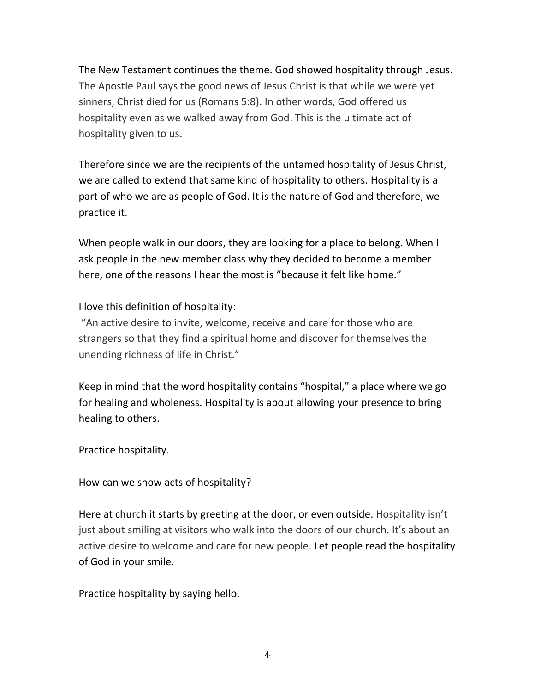The New Testament continues the theme. God showed hospitality through Jesus. The Apostle Paul says the good news of Jesus Christ is that while we were yet sinners, Christ died for us (Romans 5:8). In other words, God offered us hospitality even as we walked away from God. This is the ultimate act of hospitality given to us.

Therefore since we are the recipients of the untamed hospitality of Jesus Christ, we are called to extend that same kind of hospitality to others. Hospitality is a part of who we are as people of God. It is the nature of God and therefore, we practice it.

When people walk in our doors, they are looking for a place to belong. When I ask people in the new member class why they decided to become a member here, one of the reasons I hear the most is "because it felt like home."

I love this definition of hospitality:

"An active desire to invite, welcome, receive and care for those who are strangers so that they find a spiritual home and discover for themselves the unending richness of life in Christ."

Keep in mind that the word hospitality contains "hospital," a place where we go for healing and wholeness. Hospitality is about allowing your presence to bring healing to others.

Practice hospitality.

How can we show acts of hospitality?

Here at church it starts by greeting at the door, or even outside. Hospitality isn't just about smiling at visitors who walk into the doors of our church. It's about an active desire to welcome and care for new people. Let people read the hospitality of God in your smile.

Practice hospitality by saying hello.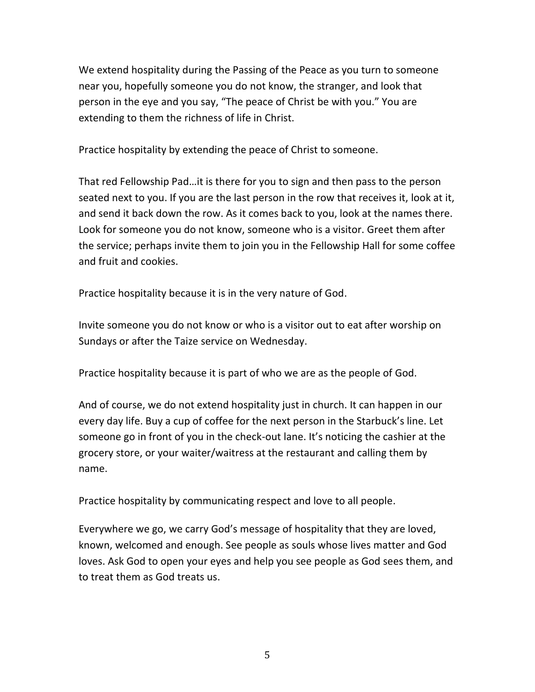We extend hospitality during the Passing of the Peace as you turn to someone near you, hopefully someone you do not know, the stranger, and look that person in the eye and you say, "The peace of Christ be with you." You are extending to them the richness of life in Christ.

Practice hospitality by extending the peace of Christ to someone.

That red Fellowship Pad…it is there for you to sign and then pass to the person seated next to you. If you are the last person in the row that receives it, look at it, and send it back down the row. As it comes back to you, look at the names there. Look for someone you do not know, someone who is a visitor. Greet them after the service; perhaps invite them to join you in the Fellowship Hall for some coffee and fruit and cookies.

Practice hospitality because it is in the very nature of God.

Invite someone you do not know or who is a visitor out to eat after worship on Sundays or after the Taize service on Wednesday.

Practice hospitality because it is part of who we are as the people of God.

And of course, we do not extend hospitality just in church. It can happen in our every day life. Buy a cup of coffee for the next person in the Starbuck's line. Let someone go in front of you in the check-out lane. It's noticing the cashier at the grocery store, or your waiter/waitress at the restaurant and calling them by name.

Practice hospitality by communicating respect and love to all people.

Everywhere we go, we carry God's message of hospitality that they are loved, known, welcomed and enough. See people as souls whose lives matter and God loves. Ask God to open your eyes and help you see people as God sees them, and to treat them as God treats us.